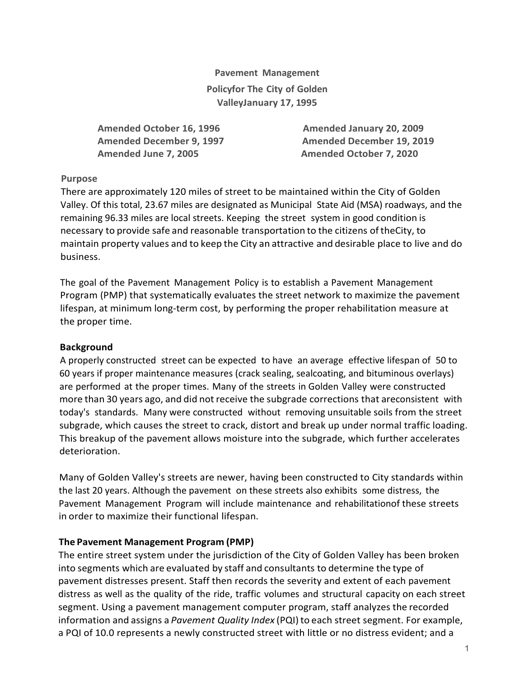**Pavement Management Policyfor The City of Golden ValleyJanuary 17, 1995**

 **Amended October 16, 1996 Amended January 20, 2009 Amended June 7, 2005 Amended October 7, 2020**

 **Amended December 9, 1997 Amended December 19, 2019**

## **Purpose**

There are approximately 120 miles of street to be maintained within the City of Golden Valley. Of this total, 23.67 miles are designated as Municipal State Aid (MSA) roadways, and the remaining 96.33 miles are local streets. Keeping the street system in good condition is necessary to provide safe and reasonable transportation to the citizens oftheCity, to maintain property values and to keep the City an attractive and desirable place to live and do business.

The goal of the Pavement Management Policy is to establish a Pavement Management Program (PMP) that systematically evaluates the street network to maximize the pavement lifespan, at minimum long-term cost, by performing the proper rehabilitation measure at the proper time.

### **Background**

A properly constructed street can be expected to have an average effective lifespan of 50 to 60 years if proper maintenance measures (crack sealing, sealcoating, and bituminous overlays) are performed at the proper times. Many of the streets in Golden Valley were constructed more than 30 years ago, and did not receive the subgrade corrections that areconsistent with today's standards. Many were constructed without removing unsuitable soils from the street subgrade, which causes the street to crack, distort and break up under normal traffic loading. This breakup of the pavement allows moisture into the subgrade, which further accelerates deterioration.

Many of Golden Valley's streets are newer, having been constructed to City standards within the last 20 years. Although the pavement on these streets also exhibits some distress, the Pavement Management Program will include maintenance and rehabilitationof these streets in order to maximize their functional lifespan.

### **The Pavement Management Program (PMP)**

The entire street system under the jurisdiction of the City of Golden Valley has been broken into segments which are evaluated by staff and consultants to determine the type of pavement distresses present. Staff then records the severity and extent of each pavement distress as well as the quality of the ride, traffic volumes and structural capacity on each street segment. Using a pavement management computer program, staff analyzes the recorded information and assigns a *Pavement Quality Index* (PQI) to each street segment. For example, a PQI of 10.0 represents a newly constructed street with little or no distress evident; and a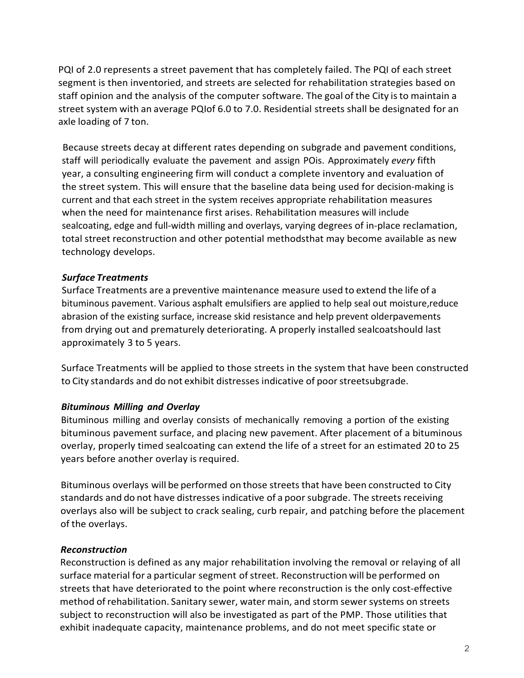PQI of 2.0 represents a street pavement that has completely failed. The PQI of each street segment is then inventoried, and streets are selected for rehabilitation strategies based on staff opinion and the analysis of the computer software. The goal of the City isto maintain a street system with an average PQIof 6.0 to 7.0. Residential streets shall be designated for an axle loading of 7 ton.

Because streets decay at different rates depending on subgrade and pavement conditions, staff will periodically evaluate the pavement and assign POis. Approximately *every* fifth year, a consulting engineering firm will conduct a complete inventory and evaluation of the street system. This will ensure that the baseline data being used for decision-making is current and that each street in the system receives appropriate rehabilitation measures when the need for maintenance first arises. Rehabilitation measures will include sealcoating, edge and full-width milling and overlays, varying degrees of in-place reclamation, total street reconstruction and other potential methodsthat may become available as new technology develops.

## *Surface Treatments*

Surface Treatments are a preventive maintenance measure used to extend the life of a bituminous pavement. Various asphalt emulsifiers are applied to help seal out moisture,reduce abrasion of the existing surface, increase skid resistance and help prevent olderpavements from drying out and prematurely deteriorating. A properly installed sealcoatshould last approximately 3 to 5 years.

Surface Treatments will be applied to those streets in the system that have been constructed to City standards and do not exhibit distresses indicative of poor streetsubgrade.

### *Bituminous Milling and Overlay*

Bituminous milling and overlay consists of mechanically removing a portion of the existing bituminous pavement surface, and placing new pavement. After placement of a bituminous overlay, properly timed sealcoating can extend the life of a street for an estimated 20 to 25 years before another overlay is required.

Bituminous overlays will be performed on those streets that have been constructed to City standards and do not have distresses indicative of a poorsubgrade. The streets receiving overlays also will be subject to crack sealing, curb repair, and patching before the placement of the overlays.

### *Reconstruction*

Reconstruction is defined as any major rehabilitation involving the removal or relaying of all surface material for a particular segment of street. Reconstruction will be performed on streets that have deteriorated to the point where reconstruction is the only cost-effective method of rehabilitation. Sanitary sewer, water main, and storm sewer systems on streets subject to reconstruction will also be investigated as part of the PMP. Those utilities that exhibit inadequate capacity, maintenance problems, and do not meet specific state or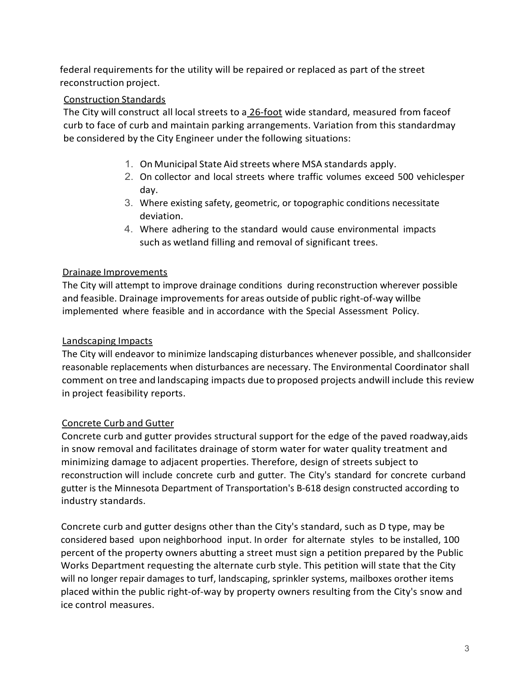federal requirements for the utility will be repaired or replaced as part of the street reconstruction project.

# Construction Standards

The City will construct all local streets to a 26-foot wide standard, measured from faceof curb to face of curb and maintain parking arrangements. Variation from this standardmay be considered by the City Engineer under the following situations:

- 1. On Municipal State Aid streets where MSA standards apply.
- 2. On collector and local streets where traffic volumes exceed 500 vehiclesper day.
- 3. Where existing safety, geometric, or topographic conditions necessitate deviation.
- 4. Where adhering to the standard would cause environmental impacts such as wetland filling and removal of significant trees.

## Drainage Improvements

The City will attempt to improve drainage conditions during reconstruction wherever possible and feasible. Drainage improvements for areas outside of public right-of-way willbe implemented where feasible and in accordance with the Special Assessment Policy.

# Landscaping Impacts

The City will endeavor to minimize landscaping disturbances whenever possible, and shallconsider reasonable replacements when disturbances are necessary. The Environmental Coordinator shall comment on tree and landscaping impacts due to proposed projects andwill include this review in project feasibility reports.

# Concrete Curb and Gutter

Concrete curb and gutter provides structural support for the edge of the paved roadway,aids in snow removal and facilitates drainage of storm water for water quality treatment and minimizing damage to adjacent properties. Therefore, design of streets subject to reconstruction will include concrete curb and gutter. The City's standard for concrete curband gutter is the Minnesota Department of Transportation's B-618 design constructed according to industry standards.

Concrete curb and gutter designs other than the City's standard, such as D type, may be considered based upon neighborhood input. In order for alternate styles to be installed, 100 percent of the property owners abutting a street must sign a petition prepared by the Public Works Department requesting the alternate curb style. This petition will state that the City will no longer repair damages to turf, landscaping, sprinkler systems, mailboxes orother items placed within the public right-of-way by property owners resulting from the City's snow and ice control measures.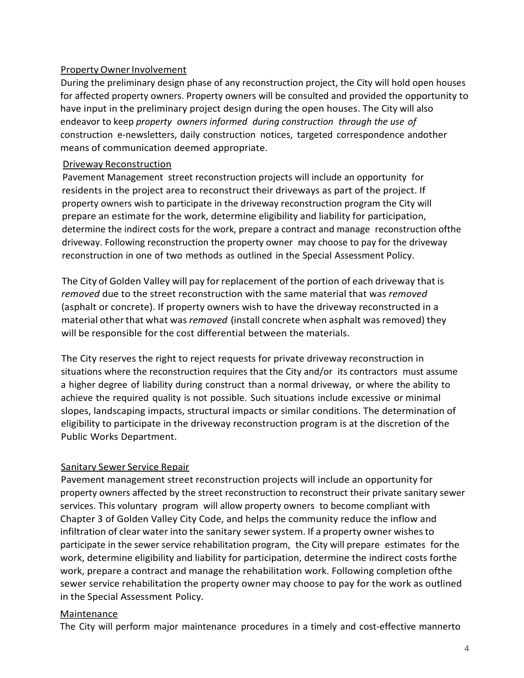# Property Owner Involvement

During the preliminary design phase of any reconstruction project, the City will hold open houses for affected property owners. Property owners will be consulted and provided the opportunity to have input in the preliminary project design during the open houses. The City will also endeavor to keep *property owners informed during construction through the use of* construction e-newsletters, daily construction notices, targeted correspondence andother means of communication deemed appropriate.

### Driveway Reconstruction

Pavement Management street reconstruction projects will include an opportunity for residents in the project area to reconstruct their driveways as part of the project. If property owners wish to participate in the driveway reconstruction program the City will prepare an estimate for the work, determine eligibility and liability for participation, determine the indirect costs for the work, prepare a contract and manage reconstruction ofthe driveway. Following reconstruction the property owner may choose to pay for the driveway reconstruction in one of two methods as outlined in the Special Assessment Policy.

The City of Golden Valley will pay for replacement of the portion of each driveway that is *removed* due to the street reconstruction with the same material that was *removed* (asphalt or concrete). If property owners wish to have the driveway reconstructed in a material otherthat what was *removed* (install concrete when asphalt wasremoved) they will be responsible for the cost differential between the materials.

The City reserves the right to reject requests for private driveway reconstruction in situations where the reconstruction requires that the City and/or its contractors must assume a higher degree of liability during construct than a normal driveway, or where the ability to achieve the required quality is not possible. Such situations include excessive or minimal slopes, landscaping impacts, structural impacts or similar conditions. The determination of eligibility to participate in the driveway reconstruction program is at the discretion of the Public Works Department.

### Sanitary Sewer Service Repair

Pavement management street reconstruction projects will include an opportunity for property owners affected by the street reconstruction to reconstruct their private sanitary sewer services. This voluntary program will allow property owners to become compliant with Chapter 3 of Golden Valley City Code, and helps the community reduce the inflow and infiltration of clear water into the sanitary sewersystem. If a property owner wishesto participate in the sewer service rehabilitation program, the City will prepare estimates for the work, determine eligibility and liability for participation, determine the indirect costs forthe work, prepare a contract and manage the rehabilitation work. Following completion ofthe sewer service rehabilitation the property owner may choose to pay for the work as outlined in the Special Assessment Policy.

### Maintenance

The City will perform major maintenance procedures in a timely and cost-effective mannerto